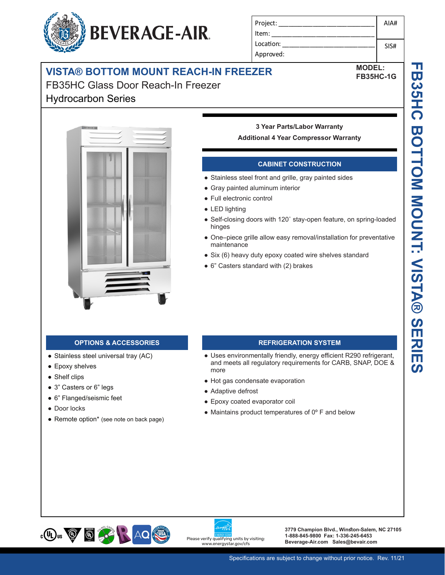# **BEVERAGE-AIR.**

| Project:  | AIA# |
|-----------|------|
| Item:     |      |
| Location: | SIS# |
| Approved: |      |

**MODEL: FB35HC-1G**

## **VISTA® BOTTOM MOUNT REACH-IN FREEZER**

## FB35HC Glass Door Reach-In Freezer Hydrocarbon Series



## **3 Year Parts/Labor Warranty Additional 4 Year Compressor Warranty**

## **CABINET CONSTRUCTION**

- Stainless steel front and grille, gray painted sides
- Gray painted aluminum interior
- Full electronic control
- LED lighting
- Self-closing doors with 120˚ stay-open feature, on spring-loaded hinges
- One–piece grille allow easy removal/installation for preventative maintenance
- Six (6) heavy duty epoxy coated wire shelves standard
- 6" Casters standard with (2) brakes

- Stainless steel universal tray (AC)
- Epoxy shelves
- Shelf clips
- 3" Casters or 6" legs
- 6" Flanged/seismic feet
- Door locks
- Remote option\* (see note on back page)

## **OPTIONS & ACCESSORIES REFRIGERATION SYSTEM**

- Uses environmentally friendly, energy efficient R290 refrigerant, and meets all regulatory requirements for CARB, SNAP, DOE & more
- Hot gas condensate evaporation
- Adaptive defrost
- Epoxy coated evaporator coil
- $\bullet$  Maintains product temperatures of  $0^{\circ}$  F and below





**3779 Champion Blvd., Winston-Salem, NC 27105 1-888-845-9800 Fax: 1-336-245-6453**  Please verify qualifying units by visiting:<br>Beverage-Air.com Sales@bevair.com<br>www.energystar.gov/cfs